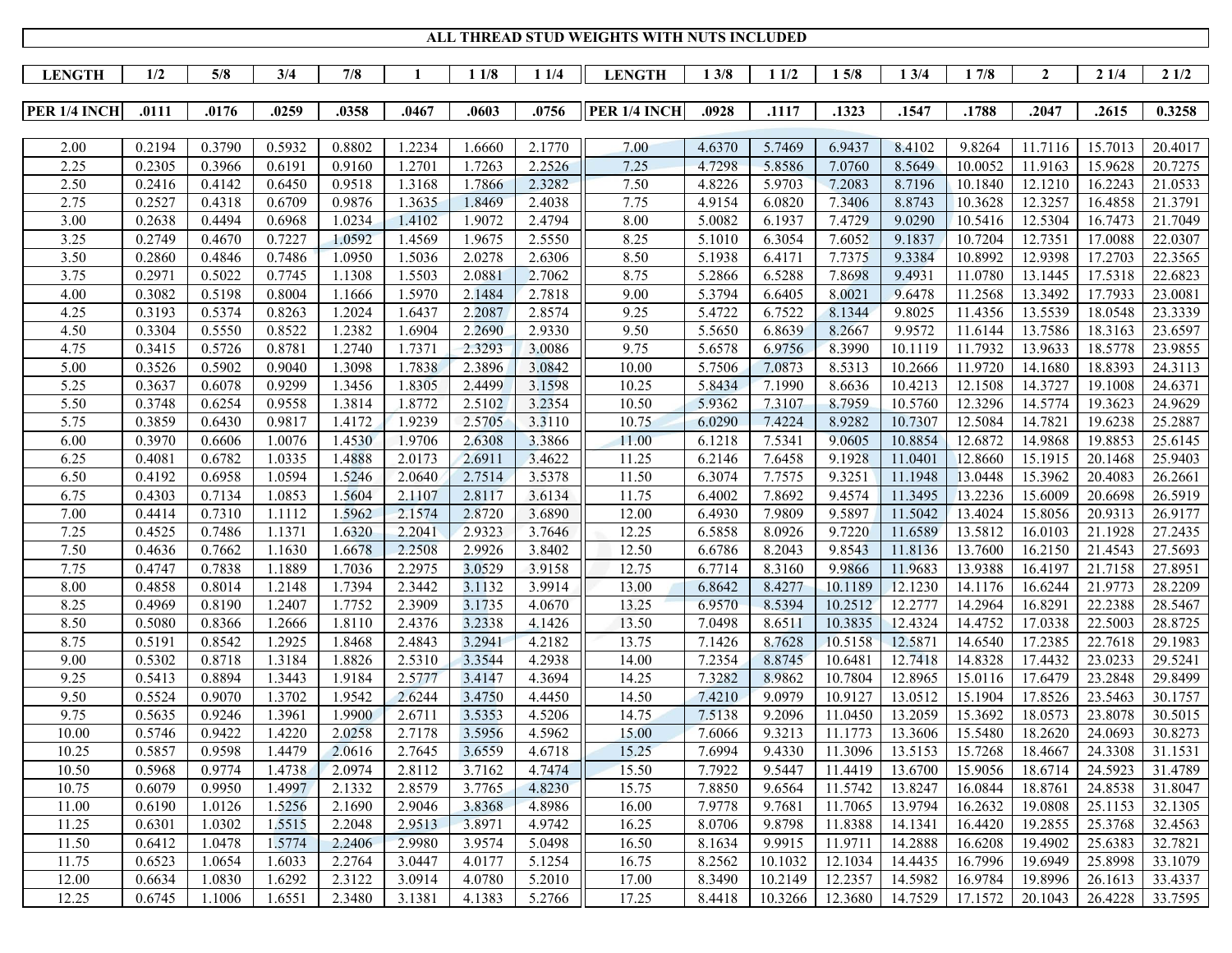|               |        |        |        |        |        |        |        | ALL THREAD STUD WEIGHTS WITH NUTS INCLUDED |        |        |         |         |         |                  |         |         |
|---------------|--------|--------|--------|--------|--------|--------|--------|--------------------------------------------|--------|--------|---------|---------|---------|------------------|---------|---------|
| <b>LENGTH</b> | 1/2    | 5/8    | 3/4    | 7/8    | 1      | 11/8   | 11/4   | <b>LENGTH</b>                              | 13/8   | 11/2   | 15/8    | 13/4    | 17/8    | $\boldsymbol{2}$ | 21/4    | 21/2    |
|               |        |        |        |        |        |        |        |                                            |        |        |         |         |         |                  |         |         |
| PER 1/4 INCH  | .0111  | .0176  | .0259  | .0358  | .0467  | .0603  | .0756  | PER 1/4 INCH                               | .0928  | .1117  | .1323   | .1547   | .1788   | .2047            | .2615   | 0.3258  |
|               |        |        |        |        |        |        |        |                                            |        |        |         |         |         |                  |         |         |
| 2.00          | 0.2194 | 0.3790 | 0.5932 | 0.8802 | 1.2234 | 1.6660 | 2.1770 | 7.00                                       | 4.6370 | 5.7469 | 6.9437  | 8.4102  | 9.8264  | 11.7116          | 15.7013 | 20.4017 |
| 2.25          | 0.2305 | 0.3966 | 0.6191 | 0.9160 | 1.2701 | 1.7263 | 2.2526 | 7.25                                       | 4.7298 | 5.8586 | 7.0760  | 8.5649  | 10.0052 | 11.9163          | 15.9628 | 20.7275 |
| 2.50          | 0.2416 | 0.4142 | 0.6450 | 0.9518 | 1.3168 | 1.7866 | 2.3282 | 7.50                                       | 4.8226 | 5.9703 | 7.2083  | 8.7196  | 10.1840 | 12.1210          | 16.2243 | 21.0533 |
| 2.75          | 0.2527 | 0.4318 | 0.6709 | 0.9876 | 1.3635 | 1.8469 | 2.4038 | 7.75                                       | 4.9154 | 6.0820 | 7.3406  | 8.8743  | 10.3628 | 12.3257          | 16.4858 | 21.3791 |
| 3.00          | 0.2638 | 0.4494 | 0.6968 | 1.0234 | 1.4102 | 1.9072 | 2.4794 | 8.00                                       | 5.0082 | 6.1937 | 7.4729  | 9.0290  | 10.5416 | 12.5304          | 16.7473 | 21.7049 |
| 3.25          | 0.2749 | 0.4670 | 0.7227 | 1.0592 | 1.4569 | 1.9675 | 2.5550 | 8.25                                       | 5.1010 | 6.3054 | 7.6052  | 9.1837  | 10.7204 | 12.7351          | 17.0088 | 22.0307 |
| 3.50          | 0.2860 | 0.4846 | 0.7486 | 1.0950 | 1.5036 | 2.0278 | 2.6306 | 8.50                                       | 5.1938 | 6.4171 | 7.7375  | 9.3384  | 10.8992 | 12.9398          | 17.2703 | 22.3565 |
| 3.75          | 0.2971 | 0.5022 | 0.7745 | 1.1308 | 1.5503 | 2.0881 | 2.7062 | 8.75                                       | 5.2866 | 6.5288 | 7.8698  | 9.4931  | 11.0780 | 13.1445          | 17.5318 | 22.6823 |
| 4.00          | 0.3082 | 0.5198 | 0.8004 | 1.1666 | 1.5970 | 2.1484 | 2.7818 | 9.00                                       | 5.3794 | 6.6405 | 8.0021  | 9.6478  | 11.2568 | 13.3492          | 17.7933 | 23.0081 |
| 4.25          | 0.3193 | 0.5374 | 0.8263 | 1.2024 | 1.6437 | 2.2087 | 2.8574 | 9.25                                       | 5.4722 | 6.7522 | 8.1344  | 9.8025  | 11.4356 | 13.5539          | 18.0548 | 23.3339 |
| 4.50          | 0.3304 | 0.5550 | 0.8522 | 1.2382 | 1.6904 | 2.2690 | 2.9330 | 9.50                                       | 5.5650 | 6.8639 | 8.2667  | 9.9572  | 11.6144 | 13.7586          | 18.3163 | 23.6597 |
| 4.75          | 0.3415 | 0.5726 | 0.8781 | 1.2740 | 1.7371 | 2.3293 | 3.0086 | 9.75                                       | 5.6578 | 6.9756 | 8.3990  | 10.1119 | 11.7932 | 13.9633          | 18.5778 | 23.9855 |
| 5.00          | 0.3526 | 0.5902 | 0.9040 | 1.3098 | 1.7838 | 2.3896 | 3.0842 | 10.00                                      | 5.7506 | 7.0873 | 8.5313  | 10.2666 | 11.9720 | 14.1680          | 18.8393 | 24.3113 |
| 5.25          | 0.3637 | 0.6078 | 0.9299 | 1.3456 | 1.8305 | 2.4499 | 3.1598 | 10.25                                      | 5.8434 | 7.1990 | 8.6636  | 10.4213 | 12.1508 | 14.3727          | 19.1008 | 24.6371 |
| 5.50          | 0.3748 | 0.6254 | 0.9558 | 1.3814 | 1.8772 | 2.5102 | 3.2354 | 10.50                                      | 5.9362 | 7.3107 | 8.7959  | 10.5760 | 12.3296 | 14.5774          | 19.3623 | 24.9629 |
| 5.75          | 0.3859 | 0.6430 | 0.9817 | 1.4172 | 1.9239 | 2.5705 | 3.3110 | 10.75                                      | 6.0290 | 7.4224 | 8.9282  | 10.7307 | 12.5084 | 14.7821          | 19.6238 | 25.2887 |
| 6.00          | 0.3970 | 0.6606 | 1.0076 | 1.4530 | 1.9706 | 2.6308 | 3.3866 | 11.00                                      | 6.1218 | 7.5341 | 9.0605  | 10.8854 | 12.6872 | 14.9868          | 19.8853 | 25.6145 |
| 6.25          | 0.4081 | 0.6782 | 1.0335 | 1.4888 | 2.0173 | 2.6911 | 3.4622 | 11.25                                      | 6.2146 | 7.6458 | 9.1928  | 11.0401 | 12.8660 | 15.1915          | 20.1468 | 25.9403 |
| 6.50          | 0.4192 | 0.6958 | 1.0594 | 1.5246 | 2.0640 | 2.7514 | 3.5378 | 11.50                                      | 6.3074 | 7.7575 | 9.3251  | 11.1948 | 13.0448 | 15.3962          | 20.4083 | 26.2661 |
| 6.75          | 0.4303 | 0.7134 | 1.0853 | 1.5604 | 2.1107 | 2.8117 | 3.6134 | 11.75                                      | 6.4002 | 7.8692 | 9.4574  | 11.3495 | 13.2236 | 15.6009          | 20.6698 | 26.5919 |
| 7.00          | 0.4414 | 0.7310 | 1.1112 | 1.5962 | 2.1574 | 2.8720 | 3.6890 | 12.00                                      | 6.4930 | 7.9809 | 9.5897  | 11.5042 | 13.4024 | 15.8056          | 20.9313 | 26.9177 |
| 7.25          | 0.4525 | 0.7486 | 1.1371 | 1.6320 | 2.2041 | 2.9323 | 3.7646 | 12.25                                      | 6.5858 | 8.0926 | 9.7220  | 11.6589 | 13.5812 | 16.0103          | 21.1928 | 27.2435 |
| 7.50          | 0.4636 | 0.7662 | 1.1630 | 1.6678 | 2.2508 | 2.9926 | 3.8402 | 12.50                                      | 6.6786 | 8.2043 | 9.8543  | 11.8136 | 13.7600 | 16.2150          | 21.4543 | 27.5693 |
| 7.75          | 0.4747 | 0.7838 | 1.1889 | 1.7036 | 2.2975 | 3.0529 | 3.9158 | 12.75                                      | 6.7714 | 8.3160 | 9.9866  | 11.9683 | 13.9388 | 16.4197          | 21.7158 | 27.8951 |
| 8.00          | 0.4858 | 0.8014 | 1.2148 | 1.7394 | 2.3442 | 3.1132 | 3.9914 | 13.00                                      | 6.8642 | 8.4277 | 10.1189 | 12.1230 | 14.1176 | 16.6244          | 21.9773 | 28.2209 |
| 8.25          | 0.4969 | 0.8190 | 1.2407 | 1.7752 | 2.3909 | 3.1735 | 4.0670 | 13.25                                      | 6.9570 | 8.5394 | 10.2512 | 12.2777 | 14.2964 | 16.8291          | 22.2388 | 28.5467 |
| 8.50          | 0.5080 | 0.8366 | 1.2666 | 1.8110 | 2.4376 | 3.2338 | 4.1426 | 13.50                                      | 7.0498 | 8.6511 | 10.3835 | 12.4324 | 14.4752 | 17.0338          | 22.5003 | 28.8725 |
| 8.75          | 0.5191 | 0.8542 | 1.2925 | 1.8468 | 2.4843 | 3.2941 | 4.2182 | 13.75                                      | 7.1426 | 8.7628 | 10.5158 | 12.5871 | 14.6540 | 17.2385          | 22.7618 | 29.1983 |
| 9.00          | 0.5302 | 0.8718 | 1.3184 | 1.8826 | 2.5310 | 3.3544 | 4.2938 | 14.00                                      | 7.2354 | 8.8745 | 10.6481 | 12.7418 | 14.8328 | 17.4432          | 23.0233 | 29.5241 |
| 9.25          | 0.5413 | 0.8894 | 1.3443 | 1.9184 | 2.5777 | 3.4147 | 4.3694 | 14.25                                      | 7.3282 | 8.9862 | 10.7804 | 12.8965 | 15.0116 | 17.6479          | 23.2848 | 29.8499 |
| 9.50          | 0.5524 | 0.9070 | 1.3702 | 1.9542 | 2.6244 | 3.4750 | 4.4450 | 14.50                                      | 7.4210 | 9.0979 | 10.9127 | 13.0512 | 15.1904 | 17.8526          | 23.5463 | 30.1757 |
| 9.75          | 0.5635 | 0.9246 | 1.3961 | 1.9900 | 2.6711 | 3.5353 | 4.5206 | 14.75                                      | 7.5138 | 9.2096 | 11.0450 | 13.2059 | 15.3692 | 18.0573          | 23.8078 | 30.5015 |
| 10.00         | 0.5746 | 0.9422 | 1.4220 | 2.0258 | 2.7178 | 3.5956 | 4.5962 | 15.00                                      | 7.6066 | 9.3213 | 11.1773 | 13.3606 | 15.5480 | 18.2620          | 24.0693 | 30.8273 |
| 10.25         | 0.5857 | 0.9598 | 1.4479 | 2.0616 | 2.7645 | 3.6559 | 4.6718 | 15.25                                      | 7.6994 | 9.4330 | 11.3096 | 13.5153 | 15.7268 | 18.4667          | 24.3308 | 31.1531 |
| 10.50         | 0.5968 | 0.9774 | 1.4738 | 2.0974 | 2.8112 | 3.7162 | 4.7474 | 15.50                                      | 7.7922 | 9.5447 | 11.4419 | 13.6700 | 15.9056 | 18.6714          | 24.5923 | 31.4789 |
| 10.75         | 0.6079 | 0.9950 | 1.4997 | 2.1332 | 2.8579 | 3.7765 | 4.8230 | 15.75                                      | 7.8850 | 9.6564 | 11.5742 | 13.8247 | 16.0844 | 18.8761          | 24.8538 | 31.8047 |
| 11.00         | 0.6190 | 1.0126 | 1.5256 | 2.1690 | 2.9046 | 3.8368 | 4.8986 | 16.00                                      | 7.9778 | 9.7681 | 11.7065 | 13.9794 | 16.2632 | 19.0808          | 25.1153 | 32.1305 |
| 11.25         | 0.6301 | 1.0302 | 1.5515 | 2.2048 | 2.9513 | 3.8971 | 4.9742 | 16.25                                      | 8.0706 | 9.8798 | 11.8388 | 14.1341 | 16.4420 | 19.2855          | 25.3768 | 32.4563 |

11.25 0.6301 1.0302 1.5515 2.2048 2.9513 3.8971 4.9742 16.25 8.0706 9.8798 11.8388 14.1341 16.4420 19.2855 25.3768 32.4563 11.50 0.6412 1.0478 1.5774 2.2406 2.9980 3.9574 5.0498 16.50 8.1634 9.9915 11.9711 14.2888 16.6208 19.4902 25.6383 32.7821 11.75 | 0.6523 | 1.0654 | 1.6033 | 2.2764 | 3.0447 | 4.0177 | 5.1254 || 16.75 | 8.2562 | 10.1032 | 12.1034 | 14.4435 | 16.7996 | 19.6949 | 25.8998 | 33.1079 12.00 0.6634 1.0830 1.6292 2.3122 3.0914 4.0780 5.2010 17.00 8.3490 10.2149 12.2357 14.5982 16.9784 19.8996 26.1613 33.4337 12.25 | 0.6745 | 1.1006 | 1.6551 | 2.3480 | 3.1381 | 4.1383 | 5.2766 || 17.25 | 8.4418 | 10.3266 | 12.3680 | 14.7529 | 17.1572 | 20.1043 | 26.4228 | 33.7595